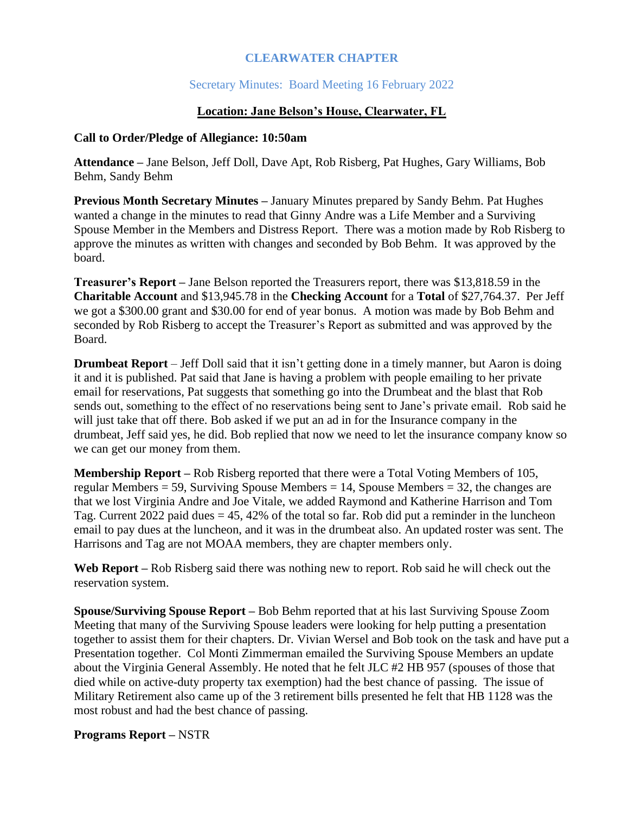## **CLEARWATER CHAPTER**

## Secretary Minutes: Board Meeting 16 February 2022

#### **Location: Jane Belson's House, Clearwater, FL**

#### **Call to Order/Pledge of Allegiance: 10:50am**

**Attendance –** Jane Belson, Jeff Doll, Dave Apt, Rob Risberg, Pat Hughes, Gary Williams, Bob Behm, Sandy Behm

**Previous Month Secretary Minutes –** January Minutes prepared by Sandy Behm. Pat Hughes wanted a change in the minutes to read that Ginny Andre was a Life Member and a Surviving Spouse Member in the Members and Distress Report. There was a motion made by Rob Risberg to approve the minutes as written with changes and seconded by Bob Behm. It was approved by the board.

**Treasurer's Report –** Jane Belson reported the Treasurers report, there was \$13,818.59 in the **Charitable Account** and \$13,945.78 in the **Checking Account** for a **Total** of \$27,764.37. Per Jeff we got a \$300.00 grant and \$30.00 for end of year bonus. A motion was made by Bob Behm and seconded by Rob Risberg to accept the Treasurer's Report as submitted and was approved by the Board.

**Drumbeat Report** – Jeff Doll said that it isn't getting done in a timely manner, but Aaron is doing it and it is published. Pat said that Jane is having a problem with people emailing to her private email for reservations, Pat suggests that something go into the Drumbeat and the blast that Rob sends out, something to the effect of no reservations being sent to Jane's private email. Rob said he will just take that off there. Bob asked if we put an ad in for the Insurance company in the drumbeat, Jeff said yes, he did. Bob replied that now we need to let the insurance company know so we can get our money from them.

**Membership Report –** Rob Risberg reported that there were a Total Voting Members of 105, regular Members = 59, Surviving Spouse Members = 14, Spouse Members = 32, the changes are that we lost Virginia Andre and Joe Vitale, we added Raymond and Katherine Harrison and Tom Tag. Current 2022 paid dues = 45, 42% of the total so far. Rob did put a reminder in the luncheon email to pay dues at the luncheon, and it was in the drumbeat also. An updated roster was sent. The Harrisons and Tag are not MOAA members, they are chapter members only.

**Web Report –** Rob Risberg said there was nothing new to report. Rob said he will check out the reservation system.

**Spouse/Surviving Spouse Report –** Bob Behm reported that at his last Surviving Spouse Zoom Meeting that many of the Surviving Spouse leaders were looking for help putting a presentation together to assist them for their chapters. Dr. Vivian Wersel and Bob took on the task and have put a Presentation together. Col Monti Zimmerman emailed the Surviving Spouse Members an update about the Virginia General Assembly. He noted that he felt JLC #2 HB 957 (spouses of those that died while on active-duty property tax exemption) had the best chance of passing. The issue of Military Retirement also came up of the 3 retirement bills presented he felt that HB 1128 was the most robust and had the best chance of passing.

## **Programs Report –** NSTR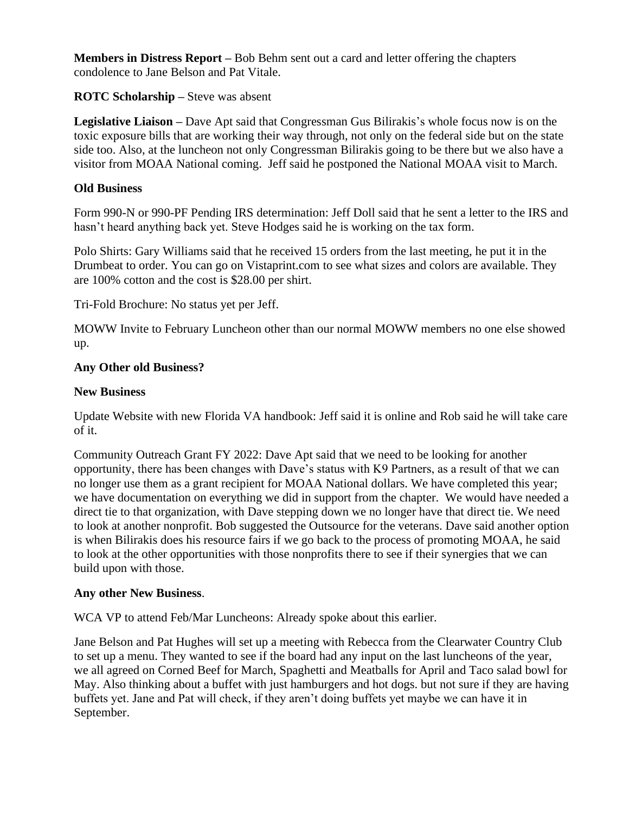**Members in Distress Report –** Bob Behm sent out a card and letter offering the chapters condolence to Jane Belson and Pat Vitale.

# **ROTC Scholarship –** Steve was absent

**Legislative Liaison –** Dave Apt said that Congressman Gus Bilirakis's whole focus now is on the toxic exposure bills that are working their way through, not only on the federal side but on the state side too. Also, at the luncheon not only Congressman Bilirakis going to be there but we also have a visitor from MOAA National coming. Jeff said he postponed the National MOAA visit to March.

# **Old Business**

Form 990-N or 990-PF Pending IRS determination: Jeff Doll said that he sent a letter to the IRS and hasn't heard anything back yet. Steve Hodges said he is working on the tax form.

Polo Shirts: Gary Williams said that he received 15 orders from the last meeting, he put it in the Drumbeat to order. You can go on Vistaprint.com to see what sizes and colors are available. They are 100% cotton and the cost is \$28.00 per shirt.

Tri-Fold Brochure: No status yet per Jeff.

MOWW Invite to February Luncheon other than our normal MOWW members no one else showed up.

# **Any Other old Business?**

## **New Business**

Update Website with new Florida VA handbook: Jeff said it is online and Rob said he will take care of it.

Community Outreach Grant FY 2022: Dave Apt said that we need to be looking for another opportunity, there has been changes with Dave's status with K9 Partners, as a result of that we can no longer use them as a grant recipient for MOAA National dollars. We have completed this year; we have documentation on everything we did in support from the chapter. We would have needed a direct tie to that organization, with Dave stepping down we no longer have that direct tie. We need to look at another nonprofit. Bob suggested the Outsource for the veterans. Dave said another option is when Bilirakis does his resource fairs if we go back to the process of promoting MOAA, he said to look at the other opportunities with those nonprofits there to see if their synergies that we can build upon with those.

# **Any other New Business**.

WCA VP to attend Feb/Mar Luncheons: Already spoke about this earlier.

Jane Belson and Pat Hughes will set up a meeting with Rebecca from the Clearwater Country Club to set up a menu. They wanted to see if the board had any input on the last luncheons of the year, we all agreed on Corned Beef for March, Spaghetti and Meatballs for April and Taco salad bowl for May. Also thinking about a buffet with just hamburgers and hot dogs. but not sure if they are having buffets yet. Jane and Pat will check, if they aren't doing buffets yet maybe we can have it in September.